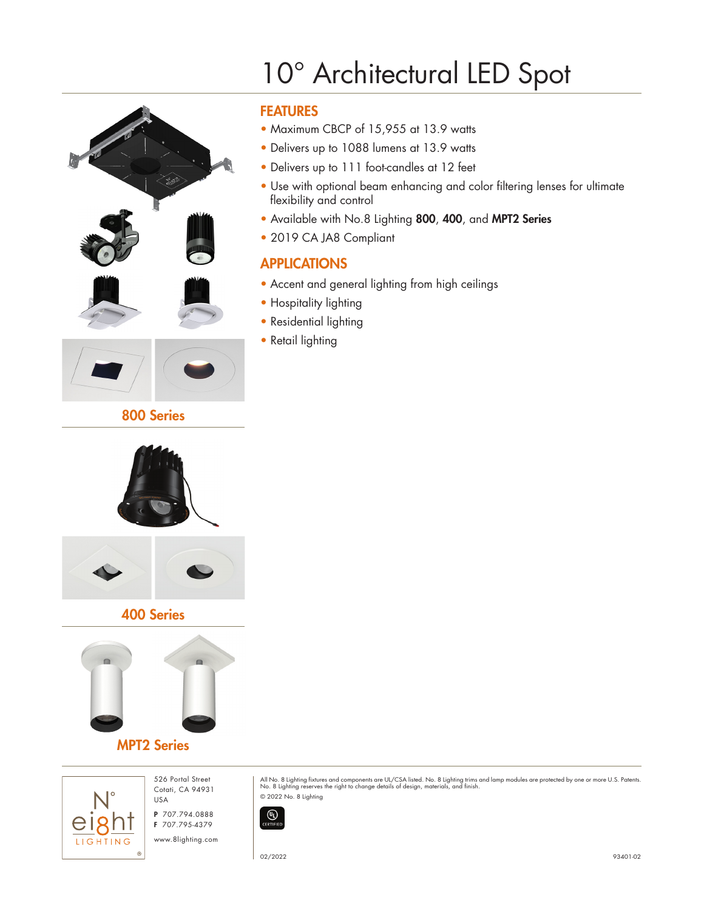

# 10° Architectural LED Spot

## FEATURES

- Maximum CBCP of 15,955 at 13.9 watts
- Delivers up to 1088 lumens at 13.9 watts
- Delivers up to 111 foot-candles at 12 feet
- Use with optional beam enhancing and color filtering lenses for ultimate flexibility and control
- Available with No.8 Lighting 800, 400, and MPT2 Series
- 2019 CA JA8 Compliant

# APPLICATIONS

- Accent and general lighting from high ceilings
- Hospitality lighting
- Residential lighting
- Retail lighting



800 Series

#### 400 Series



### MPT2 Series



526 Portal Street Cotati, CA 94931 USA

P 707.794.0888 F 707.795-4379

www.8lighting.com

All No. 8 Lighting fixtures and components are UL/CSA listed. No. 8 Lighting trims and lamp modules are protected by one or more U.S. Patents.<br>No. 8 Lighting reserves the right to change details of design, materials, and f © 2022 No. 8 Lighting